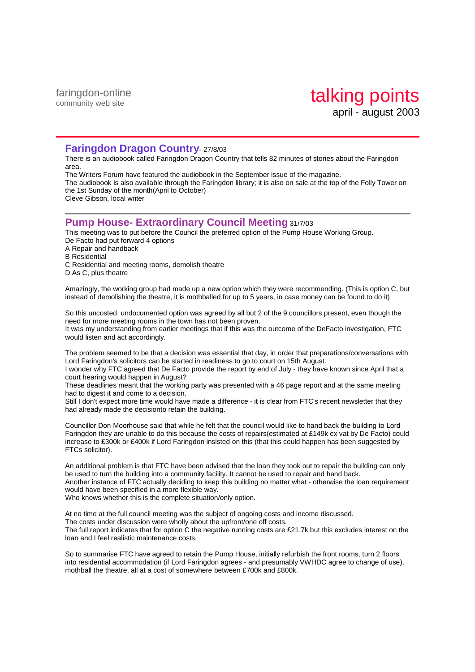faringdon-online community web site

## **Faringdon Dragon Country**- 27/8/03

There is an audiobook called Faringdon Dragon Country that tells 82 minutes of stories about the Faringdon area.

The Writers Forum have featured the audiobook in the September issue of the magazine. The audiobook is also available through the Faringdon library; it is also on sale at the top of the Folly Tower on the 1st Sunday of the month(April to October) Cleve Gibson, local writer

### **Pump House- Extraordinary Council Meeting** 31/7/03

This meeting was to put before the Council the preferred option of the Pump House Working Group. De Facto had put forward 4 options

A Repair and handback

- B Residential
- C Residential and meeting rooms, demolish theatre
- D As C, plus theatre

Amazingly, the working group had made up a new option which they were recommending. (This is option C, but instead of demolishing the theatre, it is mothballed for up to 5 years, in case money can be found to do it)

So this uncosted, undocumented option was agreed by all but 2 of the 9 councillors present, even though the need for more meeting rooms in the town has not been proven.

It was my understanding from earlier meetings that if this was the outcome of the DeFacto investigation, FTC would listen and act accordingly.

The problem seemed to be that a decision was essential that day, in order that preparations/conversations with Lord Faringdon's solicitors can be started in readiness to go to court on 15th August.

I wonder why FTC agreed that De Facto provide the report by end of July - they have known since April that a court hearing would happen in August?

These deadlines meant that the working party was presented with a 46 page report and at the same meeting had to digest it and come to a decision.

Still I don't expect more time would have made a difference - it is clear from FTC's recent newsletter that they had already made the decisionto retain the building.

Councillor Don Moorhouse said that while he felt that the council would like to hand back the building to Lord Faringdon they are unable to do this because the costs of repairs(estimated at £149k ex vat by De Facto) could increase to £300k or £400k if Lord Faringdon insisted on this (that this could happen has been suggested by FTCs solicitor).

An additional problem is that FTC have been advised that the loan they took out to repair the building can only be used to turn the building into a community facility. It cannot be used to repair and hand back. Another instance of FTC actually deciding to keep this building no matter what - otherwise the loan requirement would have been specified in a more flexible way.

Who knows whether this is the complete situation/only option.

At no time at the full council meeting was the subject of ongoing costs and income discussed.

The costs under discussion were wholly about the upfront/one off costs.

The full report indicates that for option C the negative running costs are £21.7k but this excludes interest on the loan and I feel realistic maintenance costs.

So to summarise FTC have agreed to retain the Pump House, initially refurbish the front rooms, turn 2 floors into residential accommodation (if Lord Faringdon agrees - and presumably VWHDC agree to change of use), mothball the theatre, all at a cost of somewhere between £700k and £800k.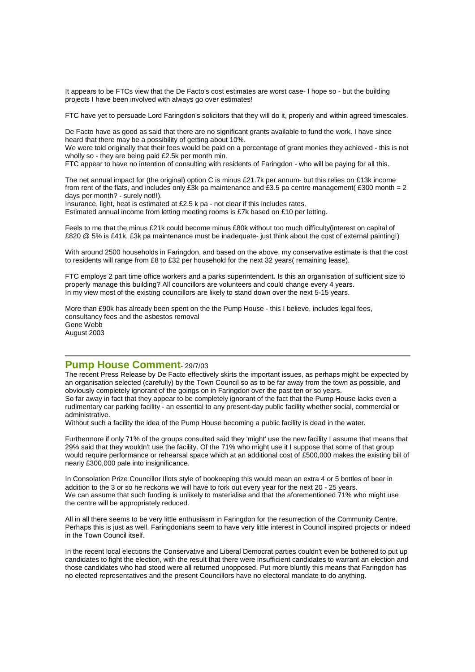It appears to be FTCs view that the De Facto's cost estimates are worst case- I hope so - but the building projects I have been involved with always go over estimates!

FTC have yet to persuade Lord Faringdon's solicitors that they will do it, properly and within agreed timescales.

De Facto have as good as said that there are no significant grants available to fund the work. I have since heard that there may be a possibility of getting about 10%.

We were told originally that their fees would be paid on a percentage of grant monies they achieved - this is not wholly so - they are being paid £2.5k per month min.

FTC appear to have no intention of consulting with residents of Faringdon - who will be paying for all this.

The net annual impact for (the original) option C is minus £21.7k per annum- but this relies on £13k income from rent of the flats, and includes only £3k pa maintenance and £3.5 pa centre management( £300 month = 2 days per month? - surely not!!).

Insurance, light, heat is estimated at £2.5 k pa - not clear if this includes rates.

Estimated annual income from letting meeting rooms is £7k based on £10 per letting.

Feels to me that the minus £21k could become minus £80k without too much difficulty(interest on capital of £820 @ 5% is £41k, £3k pa maintenance must be inadequate- just think about the cost of external painting!)

With around 2500 households in Faringdon, and based on the above, my conservative estimate is that the cost to residents will range from £8 to £32 per household for the next 32 years( remaining lease).

FTC employs 2 part time office workers and a parks superintendent. Is this an organisation of sufficient size to properly manage this building? All councillors are volunteers and could change every 4 years. In my view most of the existing councillors are likely to stand down over the next 5-15 years.

More than £90k has already been spent on the the Pump House - this I believe, includes legal fees, consultancy fees and the asbestos removal Gene Webb August 2003

### **Pump House Comment**- 29/7/03

The recent Press Release by De Facto effectively skirts the important issues, as perhaps might be expected by an organisation selected (carefully) by the Town Council so as to be far away from the town as possible, and obviously completely ignorant of the goings on in Faringdon over the past ten or so years. So far away in fact that they appear to be completely ignorant of the fact that the Pump House lacks even a rudimentary car parking facility - an essential to any present-day public facility whether social, commercial or administrative.

Without such a facility the idea of the Pump House becoming a public facility is dead in the water.

Furthermore if only 71% of the groups consulted said they 'might' use the new facility I assume that means that 29% said that they wouldn't use the facility. Of the 71% who might use it I suppose that some of that group would require performance or rehearsal space which at an additional cost of £500,000 makes the existing bill of nearly £300,000 pale into insignificance.

In Consolation Prize Councillor Illots style of bookeeping this would mean an extra 4 or 5 bottles of beer in addition to the 3 or so he reckons we will have to fork out every year for the next 20 - 25 years. We can assume that such funding is unlikely to materialise and that the aforementioned 71% who might use the centre will be appropriately reduced.

All in all there seems to be very little enthusiasm in Faringdon for the resurrection of the Community Centre. Perhaps this is just as well. Faringdonians seem to have very little interest in Council inspired projects or indeed in the Town Council itself.

In the recent local elections the Conservative and Liberal Democrat parties couldn't even be bothered to put up candidates to fight the election, with the result that there were insufficient candidates to warrant an election and those candidates who had stood were all returned unopposed. Put more bluntly this means that Faringdon has no elected representatives and the present Councillors have no electoral mandate to do anything.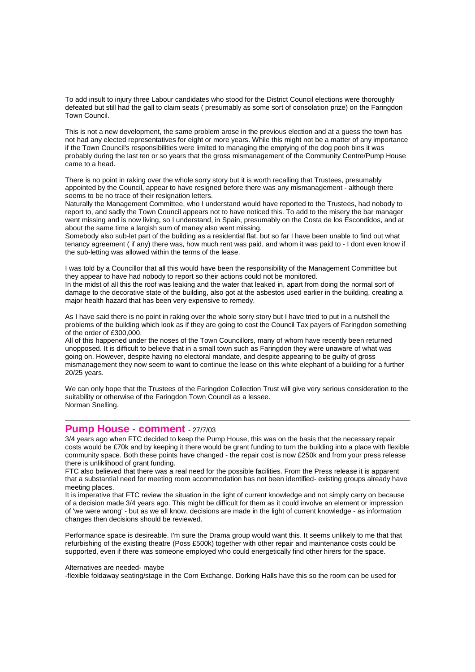To add insult to injury three Labour candidates who stood for the District Council elections were thoroughly defeated but still had the gall to claim seats ( presumably as some sort of consolation prize) on the Faringdon Town Council.

This is not a new development, the same problem arose in the previous election and at a guess the town has not had any elected representatives for eight or more years. While this might not be a matter of any importance if the Town Council's responsibilities were limited to managing the emptying of the dog pooh bins it was probably during the last ten or so years that the gross mismanagement of the Community Centre/Pump House came to a head.

There is no point in raking over the whole sorry story but it is worth recalling that Trustees, presumably appointed by the Council, appear to have resigned before there was any mismanagement - although there seems to be no trace of their resignation letters.

Naturally the Management Committee, who I understand would have reported to the Trustees, had nobody to report to, and sadly the Town Council appears not to have noticed this. To add to the misery the bar manager went missing and is now living, so I understand, in Spain, presumably on the Costa de los Escondidos, and at about the same time a largish sum of maney also went missing.

Somebody also sub-let part of the building as a residential flat, but so far I have been unable to find out what tenancy agreement ( if any) there was, how much rent was paid, and whom it was paid to - I dont even know if the sub-letting was allowed within the terms of the lease.

I was told by a Councillor that all this would have been the responsibility of the Management Committee but they appear to have had nobody to report so their actions could not be monitored. In the midst of all this the roof was leaking and the water that leaked in, apart from doing the normal sort of damage to the decorative state of the building, also got at the asbestos used earlier in the building, creating a major health hazard that has been very expensive to remedy.

As I have said there is no point in raking over the whole sorry story but I have tried to put in a nutshell the problems of the building which look as if they are going to cost the Council Tax payers of Faringdon something of the order of £300,000.

All of this happened under the noses of the Town Councillors, many of whom have recently been returned unopposed. It is difficult to believe that in a small town such as Faringdon they were unaware of what was going on. However, despite having no electoral mandate, and despite appearing to be guilty of gross mismanagement they now seem to want to continue the lease on this white elephant of a building for a further 20/25 years.

We can only hope that the Trustees of the Faringdon Collection Trust will give very serious consideration to the suitability or otherwise of the Faringdon Town Council as a lessee. Norman Snelling.

# **Pump House - comment** - 27/7/03

3/4 years ago when FTC decided to keep the Pump House, this was on the basis that the necessary repair costs would be £70k and by keeping it there would be grant funding to turn the building into a place with flexible community space. Both these points have changed - the repair cost is now £250k and from your press release there is unliklihood of grant funding.

FTC also believed that there was a real need for the possible facilities. From the Press release it is apparent that a substantial need for meeting room accommodation has not been identified- existing groups already have meeting places.

It is imperative that FTC review the situation in the light of current knowledge and not simply carry on because of a decision made 3/4 years ago. This might be difficult for them as it could involve an element or impression of 'we were wrong' - but as we all know, decisions are made in the light of current knowledge - as information changes then decisions should be reviewed.

Performance space is desireable. I'm sure the Drama group would want this. It seems unlikely to me that that refurbishing of the existing theatre (Poss £500k) together with other repair and maintenance costs could be supported, even if there was someone employed who could energetically find other hirers for the space.

#### Alternatives are needed- maybe

-flexible foldaway seating/stage in the Corn Exchange. Dorking Halls have this so the room can be used for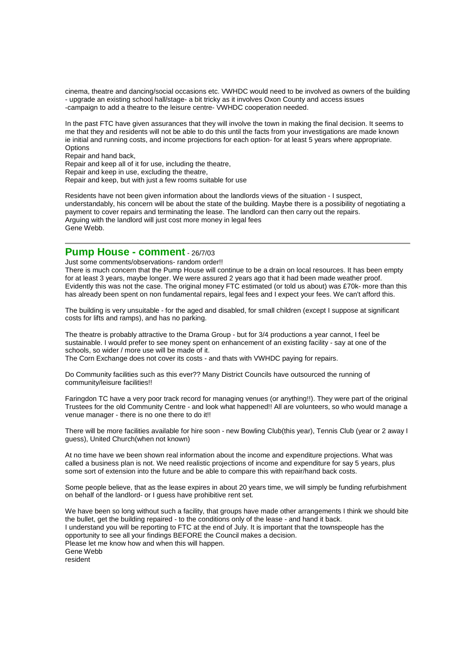cinema, theatre and dancing/social occasions etc. VWHDC would need to be involved as owners of the building - upgrade an existing school hall/stage- a bit tricky as it involves Oxon County and access issues -campaign to add a theatre to the leisure centre- VWHDC cooperation needed.

In the past FTC have given assurances that they will involve the town in making the final decision. It seems to me that they and residents will not be able to do this until the facts from your investigations are made known ie initial and running costs, and income projections for each option- for at least 5 years where appropriate. **Options** 

Repair and hand back,

Repair and keep all of it for use, including the theatre,

Repair and keep in use, excluding the theatre,

Repair and keep, but with just a few rooms suitable for use

Residents have not been given information about the landlords views of the situation - I suspect, understandably, his concern will be about the state of the building. Maybe there is a possibility of negotiating a payment to cover repairs and terminating the lease. The landlord can then carry out the repairs. Arguing with the landlord will just cost more money in legal fees Gene Webb.

# **Pump House - comment** - 26/7/03

Just some comments/observations- random order!!

There is much concern that the Pump House will continue to be a drain on local resources. It has been empty for at least 3 years, maybe longer. We were assured 2 years ago that it had been made weather proof. Evidently this was not the case. The original money FTC estimated (or told us about) was £70k- more than this has already been spent on non fundamental repairs, legal fees and I expect your fees. We can't afford this.

The building is very unsuitable - for the aged and disabled, for small children (except I suppose at significant costs for lifts and ramps), and has no parking.

The theatre is probably attractive to the Drama Group - but for 3/4 productions a year cannot, I feel be sustainable. I would prefer to see money spent on enhancement of an existing facility - say at one of the schools, so wider / more use will be made of it.

The Corn Exchange does not cover its costs - and thats with VWHDC paying for repairs.

Do Community facilities such as this ever?? Many District Councils have outsourced the running of community/leisure facilities!!

Faringdon TC have a very poor track record for managing venues (or anything!!). They were part of the original Trustees for the old Community Centre - and look what happened!! All are volunteers, so who would manage a venue manager - there is no one there to do it!!

There will be more facilities available for hire soon - new Bowling Club(this year), Tennis Club (year or 2 away I guess), United Church(when not known)

At no time have we been shown real information about the income and expenditure projections. What was called a business plan is not. We need realistic projections of income and expenditure for say 5 years, plus some sort of extension into the future and be able to compare this with repair/hand back costs.

Some people believe, that as the lease expires in about 20 years time, we will simply be funding refurbishment on behalf of the landlord- or I guess have prohibitive rent set.

We have been so long without such a facility, that groups have made other arrangements I think we should bite the bullet, get the building repaired - to the conditions only of the lease - and hand it back. I understand you will be reporting to FTC at the end of July. It is important that the townspeople has the opportunity to see all your findings BEFORE the Council makes a decision. Please let me know how and when this will happen. Gene Webb resident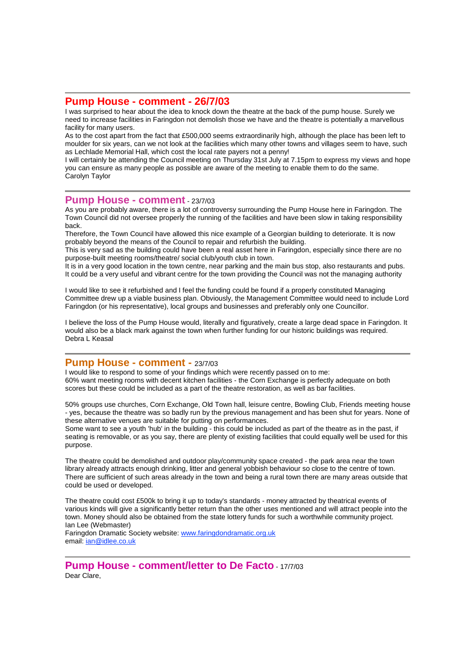## **Pump House - comment - 26/7/03**

I was surprised to hear about the idea to knock down the theatre at the back of the pump house. Surely we need to increase facilities in Faringdon not demolish those we have and the theatre is potentially a marvellous facility for many users.

As to the cost apart from the fact that £500,000 seems extraordinarily high, although the place has been left to moulder for six years, can we not look at the facilities which many other towns and villages seem to have, such as Lechlade Memorial Hall, which cost the local rate payers not a penny!

I will certainly be attending the Council meeting on Thursday 31st July at 7.15pm to express my views and hope you can ensure as many people as possible are aware of the meeting to enable them to do the same. Carolyn Taylor

### **Pump House - comment** - 23/7/03

As you are probably aware, there is a lot of controversy surrounding the Pump House here in Faringdon. The Town Council did not oversee properly the running of the facilities and have been slow in taking responsibility back.

Therefore, the Town Council have allowed this nice example of a Georgian building to deteriorate. It is now probably beyond the means of the Council to repair and refurbish the building.

This is very sad as the building could have been a real asset here in Faringdon, especially since there are no purpose-built meeting rooms/theatre/ social club/youth club in town.

It is in a very good location in the town centre, near parking and the main bus stop, also restaurants and pubs. It could be a very useful and vibrant centre for the town providing the Council was not the managing authority

I would like to see it refurbished and I feel the funding could be found if a properly constituted Managing Committee drew up a viable business plan. Obviously, the Management Committee would need to include Lord Faringdon (or his representative), local groups and businesses and preferably only one Councillor.

I believe the loss of the Pump House would, literally and figuratively, create a large dead space in Faringdon. It would also be a black mark against the town when further funding for our historic buildings was required. Debra L Keasal

## **Pump House - comment -** 23/7/03

I would like to respond to some of your findings which were recently passed on to me: 60% want meeting rooms with decent kitchen facilities - the Corn Exchange is perfectly adequate on both scores but these could be included as a part of the theatre restoration, as well as bar facilities.

50% groups use churches, Corn Exchange, Old Town hall, leisure centre, Bowling Club, Friends meeting house - yes, because the theatre was so badly run by the previous management and has been shut for years. None of these alternative venues are suitable for putting on performances.

Some want to see a youth 'hub' in the building - this could be included as part of the theatre as in the past, if seating is removable, or as you say, there are plenty of existing facilities that could equally well be used for this purpose.

The theatre could be demolished and outdoor play/community space created - the park area near the town library already attracts enough drinking, litter and general yobbish behaviour so close to the centre of town. There are sufficient of such areas already in the town and being a rural town there are many areas outside that could be used or developed.

The theatre could cost £500k to bring it up to today's standards - money attracted by theatrical events of various kinds will give a significantly better return than the other uses mentioned and will attract people into the town. Money should also be obtained from the state lottery funds for such a worthwhile community project. Ian Lee (Webmaster)

Faringdon Dramatic Society website: www.faringdondramatic.org.uk email: ian@idlee.co.uk

**Pump House - comment/letter to De Facto** - 17/7/03 Dear Clare.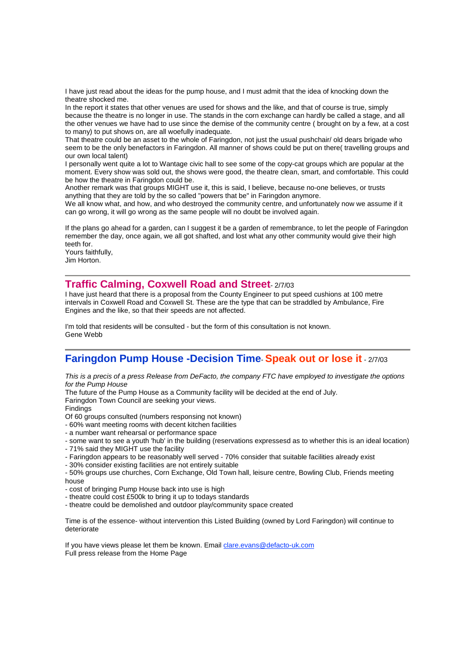I have just read about the ideas for the pump house, and I must admit that the idea of knocking down the theatre shocked me.

In the report it states that other venues are used for shows and the like, and that of course is true, simply because the theatre is no longer in use. The stands in the corn exchange can hardly be called a stage, and all the other venues we have had to use since the demise of the community centre ( brought on by a few, at a cost to many) to put shows on, are all woefully inadequate.

That theatre could be an asset to the whole of Faringdon, not just the usual pushchair/ old dears brigade who seem to be the only benefactors in Faringdon. All manner of shows could be put on there( travelling groups and our own local talent)

I personally went quite a lot to Wantage civic hall to see some of the copy-cat groups which are popular at the moment. Every show was sold out, the shows were good, the theatre clean, smart, and comfortable. This could be how the theatre in Faringdon could be.

Another remark was that groups MIGHT use it, this is said, I believe, because no-one believes, or trusts anything that they are told by the so called "powers that be" in Faringdon anymore.

We all know what, and how, and who destroyed the community centre, and unfortunately now we assume if it can go wrong, it will go wrong as the same people will no doubt be involved again.

If the plans go ahead for a garden, can I suggest it be a garden of remembrance, to let the people of Faringdon remember the day, once again, we all got shafted, and lost what any other community would give their high teeth for.

Yours faithfully, Jim Horton.

# **Traffic Calming, Coxwell Road and Street**- 2/7/03

I have just heard that there is a proposal from the County Engineer to put speed cushions at 100 metre intervals in Coxwell Road and Coxwell St. These are the type that can be straddled by Ambulance, Fire Engines and the like, so that their speeds are not affected.

I'm told that residents will be consulted - but the form of this consultation is not known. Gene Webb

# **Faringdon Pump House -Decision Time**- **Speak out or lose it** - 2/7/03

This is a precis of a press Release from DeFacto, the company FTC have employed to investigate the options for the Pump House

The future of the Pump House as a Community facility will be decided at the end of July.

Faringdon Town Council are seeking your views.

Findings

Of 60 groups consulted (numbers responsing not known)

- 60% want meeting rooms with decent kitchen facilities
- a number want rehearsal or performance space
- some want to see a youth 'hub' in the building (reservations expressesd as to whether this is an ideal location)
- 71% said they MIGHT use the facility
- Faringdon appears to be reasonably well served 70% consider that suitable facilities already exist

- 30% consider existing facilities are not entirely suitable

- 50% groups use churches, Corn Exchange, Old Town hall, leisure centre, Bowling Club, Friends meeting

house - cost of bringing Pump House back into use is high

- theatre could cost £500k to bring it up to todays standards
- theatre could be demolished and outdoor play/community space created

Time is of the essence- without intervention this Listed Building (owned by Lord Faringdon) will continue to deteriorate

If you have views please let them be known. Email clare.evans@defacto-uk.com Full press release from the Home Page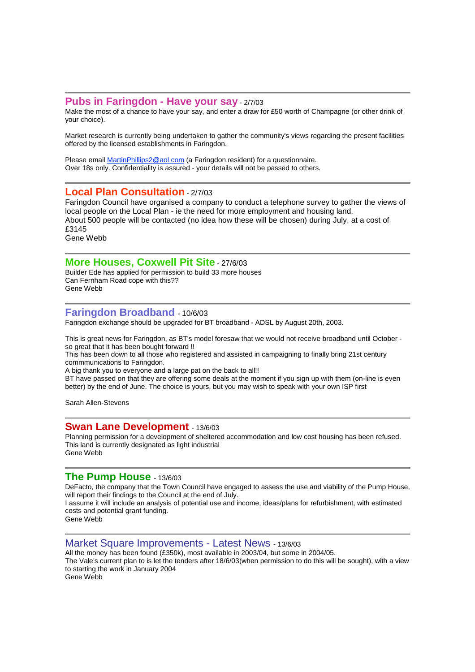## **Pubs in Faringdon - Have your say** - 2/7/03

Make the most of a chance to have your say, and enter a draw for £50 worth of Champagne (or other drink of your choice).

Market research is currently being undertaken to gather the community's views regarding the present facilities offered by the licensed establishments in Faringdon.

Please email **MartinPhillips2@aol.com** (a Faringdon resident) for a questionnaire. Over 18s only. Confidentiality is assured - your details will not be passed to others.

# **Local Plan Consultation** - 2/7/03

Faringdon Council have organised a company to conduct a telephone survey to gather the views of local people on the Local Plan - ie the need for more employment and housing land. About 500 people will be contacted (no idea how these will be chosen) during July, at a cost of £3145 Gene Webb

## **More Houses, Coxwell Pit Site** - 27/6/03

Builder Ede has applied for permission to build 33 more houses Can Fernham Road cope with this?? Gene Webb

# **Faringdon Broadband** - 10/6/03

Faringdon exchange should be upgraded for BT broadband - ADSL by August 20th, 2003.

This is great news for Faringdon, as BT's model foresaw that we would not receive broadband until October so great that it has been bought forward !!

This has been down to all those who registered and assisted in campaigning to finally bring 21st century commmunications to Faringdon.

A big thank you to everyone and a large pat on the back to all!!

BT have passed on that they are offering some deals at the moment if you sign up with them (on-line is even better) by the end of June. The choice is yours, but you may wish to speak with your own ISP first

Sarah Allen-Stevens

## **Swan Lane Development** - 13/6/03

Planning permission for a development of sheltered accommodation and low cost housing has been refused. This land is currently designated as light industrial Gene Webb

## **The Pump House** - 13/6/03

DeFacto, the company that the Town Council have engaged to assess the use and viability of the Pump House, will report their findings to the Council at the end of July.

I assume it will include an analysis of potential use and income, ideas/plans for refurbishment, with estimated costs and potential grant funding.

Gene Webb

#### Market Square Improvements - Latest News - 13/6/03

All the money has been found (£350k), most available in 2003/04, but some in 2004/05. The Vale's current plan to is let the tenders after 18/6/03(when permission to do this will be sought), with a view to starting the work in January 2004 Gene Webb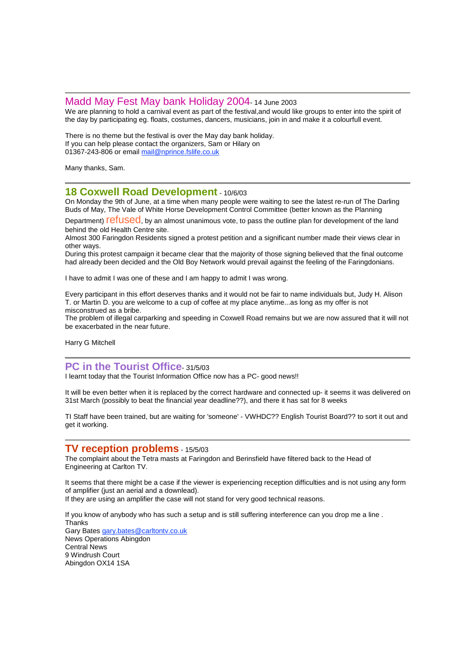### Madd May Fest May bank Holiday 2004- <sup>14</sup> June <sup>2003</sup>

We are planning to hold a carnival event as part of the festival,and would like groups to enter into the spirit of the day by participating eg. floats, costumes, dancers, musicians, join in and make it a colourfull event.

There is no theme but the festival is over the May day bank holiday. If you can help please contact the organizers, Sam or Hilary on 01367-243-806 or email mail@nprince.fslife.co.uk

Many thanks, Sam.

## **18 Coxwell Road Development** - 10/6/03

On Monday the 9th of June, at a time when many people were waiting to see the latest re-run of The Darling Buds of May, The Vale of White Horse Development Control Committee (better known as the Planning

Department) **refused**, by an almost unanimous vote, to pass the outline plan for development of the land behind the old Health Centre site.

Almost 300 Faringdon Residents signed a protest petition and a significant number made their views clear in other ways.

During this protest campaign it became clear that the majority of those signing believed that the final outcome had already been decided and the Old Boy Network would prevail against the feeling of the Faringdonians.

I have to admit I was one of these and I am happy to admit I was wrong.

Every participant in this effort deserves thanks and it would not be fair to name individuals but, Judy H. Alison T. or Martin D. you are welcome to a cup of coffee at my place anytime...as long as my offer is not misconstrued as a bribe.

The problem of illegal carparking and speeding in Coxwell Road remains but we are now assured that it will not be exacerbated in the near future.

Harry G Mitchell

## **PC in the Tourist Office**- 31/5/03

I learnt today that the Tourist Information Office now has a PC- good news!!

It will be even better when it is replaced by the correct hardware and connected up- it seems it was delivered on 31st March (possibly to beat the financial year deadline??), and there it has sat for 8 weeks

TI Staff have been trained, but are waiting for 'someone' - VWHDC?? English Tourist Board?? to sort it out and get it working.

### **TV reception problems** - 15/5/03

The complaint about the Tetra masts at Faringdon and Berinsfield have filtered back to the Head of Engineering at Carlton TV.

It seems that there might be a case if the viewer is experiencing reception difficulties and is not using any form of amplifier (just an aerial and a downlead).

If they are using an amplifier the case will not stand for very good technical reasons.

If you know of anybody who has such a setup and is still suffering interference can you drop me a line . **Thanks** Gary Bates gary.bates@carltontv.co.uk News Operations Abingdon Central News 9 Windrush Court Abingdon OX14 1SA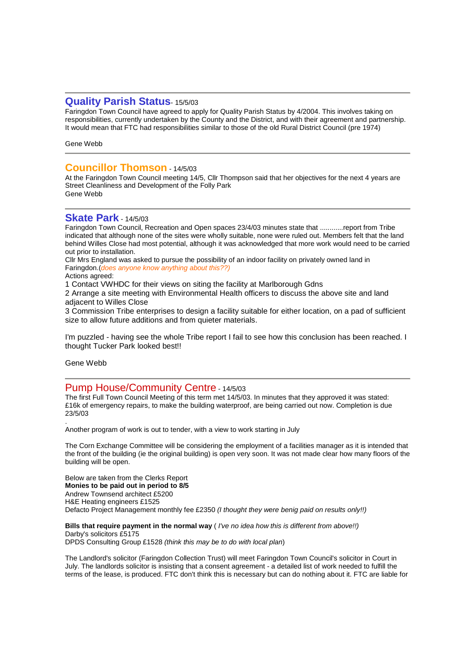## **Quality Parish Status**- 15/5/03

Faringdon Town Council have agreed to apply for Quality Parish Status by 4/2004. This involves taking on responsibilities, currently undertaken by the County and the District, and with their agreement and partnership. It would mean that FTC had responsibilities similar to those of the old Rural District Council (pre 1974)

Gene Webb

## **Councillor Thomson** - 14/5/03

At the Faringdon Town Council meeting 14/5, Cllr Thompson said that her objectives for the next 4 years are Street Cleanliness and Development of the Folly Park Gene Webb

## **Skate Park** - 14/5/03

Faringdon Town Council, Recreation and Open spaces 23/4/03 minutes state that ............report from Tribe indicated that although none of the sites were wholly suitable, none were ruled out. Members felt that the land behind Willes Close had most potential, although it was acknowledged that more work would need to be carried out prior to installation.

Cllr Mrs England was asked to pursue the possibility of an indoor facility on privately owned land in Faringdon.(does anyone know anything about this??)

Actions agreed:

1 Contact VWHDC for their views on siting the facility at Marlborough Gdns

2 Arrange a site meeting with Environmental Health officers to discuss the above site and land adjacent to Willes Close

3 Commission Tribe enterprises to design a facility suitable for either location, on a pad of sufficient size to allow future additions and from quieter materials.

I'm puzzled - having see the whole Tribe report I fail to see how this conclusion has been reached. I thought Tucker Park looked best!!

Gene Webb

# Pump House/Community Centre - 14/5/03

The first Full Town Council Meeting of this term met 14/5/03. In minutes that they approved it was stated: £16k of emergency repairs, to make the building waterproof, are being carried out now. Completion is due 23/5/03 .

Another program of work is out to tender, with a view to work starting in July

The Corn Exchange Committee will be considering the employment of a facilities manager as it is intended that the front of the building (ie the original building) is open very soon. It was not made clear how many floors of the building will be open.

Below are taken from the Clerks Report **Monies to be paid out in period to 8/5** Andrew Townsend architect £5200 H&E Heating engineers £1525 Defacto Project Management monthly fee £2350 (I thought they were benig paid on results only!!)

### **Bills that require payment in the normal way** ( I've no idea how this is different from above!!) Darby's solicitors £5175

DPDS Consulting Group £1528 (think this may be to do with local plan)

The Landlord's solicitor (Faringdon Collection Trust) will meet Faringdon Town Council's solicitor in Court in July. The landlords solicitor is insisting that a consent agreement - a detailed list of work needed to fulfill the terms of the lease, is produced. FTC don't think this is necessary but can do nothing about it. FTC are liable for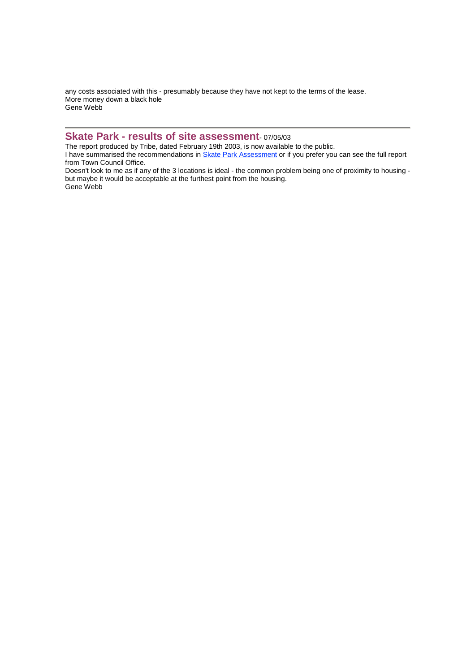any costs associated with this - presumably because they have not kept to the terms of the lease. More money down a black hole Gene Webb

# **Skate Park - results of site assessment**- 07/05/03

The report produced by Tribe, dated February 19th 2003, is now available to the public.

I have summarised the recommendations in Skate Park Assessment or if you prefer you can see the full report from Town Council Office.

Doesn't look to me as if any of the 3 locations is ideal - the common problem being one of proximity to housing but maybe it would be acceptable at the furthest point from the housing. Gene Webb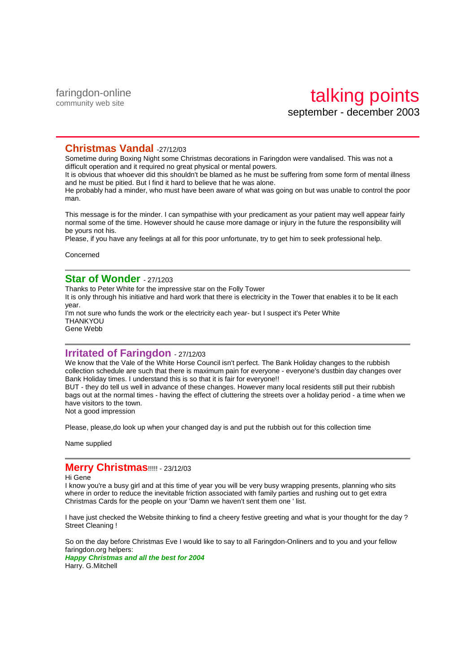faringdon-online community web site

# **Christmas Vandal** -27/12/03

Sometime during Boxing Night some Christmas decorations in Faringdon were vandalised. This was not a difficult operation and it required no great physical or mental powers.

It is obvious that whoever did this shouldn't be blamed as he must be suffering from some form of mental illness and he must be pitied. But I find it hard to believe that he was alone.

He probably had a minder, who must have been aware of what was going on but was unable to control the poor man.

This message is for the minder. I can sympathise with your predicament as your patient may well appear fairly normal some of the time. However should he cause more damage or injury in the future the responsibility will be yours not his.

Please, if you have any feelings at all for this poor unfortunate, try to get him to seek professional help.

Concerned

# **Star of Wonder** - 27/1203

Thanks to Peter White for the impressive star on the Folly Tower It is only through his initiative and hard work that there is electricity in the Tower that enables it to be lit each year. I'm not sure who funds the work or the electricity each year- but I suspect it's Peter White **THANKYOU** Gene Webb

**Irritated of Faringdon** - 27/12/03

We know that the Vale of the White Horse Council isn't perfect. The Bank Holiday changes to the rubbish collection schedule are such that there is maximum pain for everyone - everyone's dustbin day changes over Bank Holiday times. I understand this is so that it is fair for everyone!!

BUT - they do tell us well in advance of these changes. However many local residents still put their rubbish bags out at the normal times - having the effect of cluttering the streets over a holiday period - a time when we have visitors to the town.

Not a good impression

Please, please,do look up when your changed day is and put the rubbish out for this collection time

Name supplied

## **Merry Christmas**!!!!! - 23/12/03

Hi Gene

I know you're a busy girl and at this time of year you will be very busy wrapping presents, planning who sits where in order to reduce the inevitable friction associated with family parties and rushing out to get extra Christmas Cards for the people on your 'Damn we haven't sent them one ' list.

I have just checked the Website thinking to find a cheery festive greeting and what is your thought for the day ? Street Cleaning !

So on the day before Christmas Eve I would like to say to all Faringdon-Onliners and to you and your fellow faringdon.org helpers:

**Happy Christmas and all the best for 2004** Harry. G.Mitchell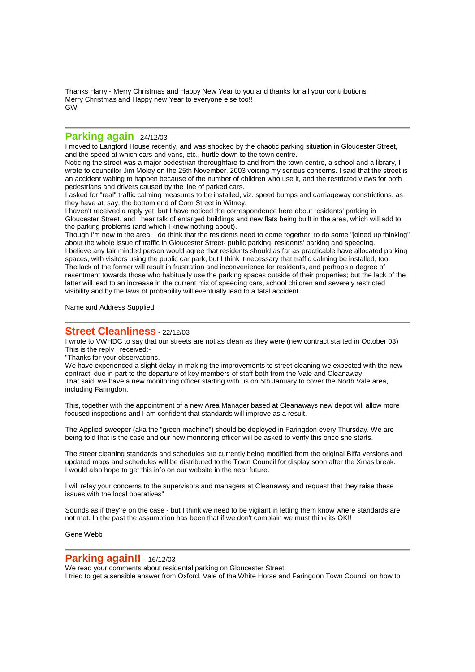Thanks Harry - Merry Christmas and Happy New Year to you and thanks for all your contributions Merry Christmas and Happy new Year to everyone else too!! GW

# **Parking again** - 24/12/03

I moved to Langford House recently, and was shocked by the chaotic parking situation in Gloucester Street, and the speed at which cars and vans, etc., hurtle down to the town centre.

Noticing the street was a major pedestrian thoroughfare to and from the town centre, a school and a library, I wrote to councillor Jim Moley on the 25th November, 2003 voicing my serious concerns. I said that the street is an accident waiting to happen because of the number of children who use it, and the restricted views for both pedestrians and drivers caused by the line of parked cars.

I asked for "real" traffic calming measures to be installed, viz. speed bumps and carriageway constrictions, as they have at, say, the bottom end of Corn Street in Witney.

I haven't received a reply yet, but I have noticed the correspondence here about residents' parking in Gloucester Street, and I hear talk of enlarged buildings and new flats being built in the area, which will add to the parking problems (and which I knew nothing about).

Though I'm new to the area, I do think that the residents need to come together, to do some "joined up thinking" about the whole issue of traffic in Gloucester Street- public parking, residents' parking and speeding. I believe any fair minded person would agree that residents should as far as practicable have allocated parking spaces, with visitors using the public car park, but I think it necessary that traffic calming be installed, too. The lack of the former will result in frustration and inconvenience for residents, and perhaps a degree of resentment towards those who habitually use the parking spaces outside of their properties; but the lack of the latter will lead to an increase in the current mix of speeding cars, school children and severely restricted visibility and by the laws of probability will eventually lead to a fatal accident.

Name and Address Supplied

### **Street Cleanliness** - 22/12/03

I wrote to VWHDC to say that our streets are not as clean as they were (new contract started in October 03) This is the reply I received:-

"Thanks for your observations.

We have experienced a slight delay in making the improvements to street cleaning we expected with the new contract, due in part to the departure of key members of staff both from the Vale and Cleanaway. That said, we have a new monitoring officer starting with us on 5th January to cover the North Vale area, including Faringdon.

This, together with the appointment of a new Area Manager based at Cleanaways new depot will allow more focused inspections and I am confident that standards will improve as a result.

The Applied sweeper (aka the "green machine") should be deployed in Faringdon every Thursday. We are being told that is the case and our new monitoring officer will be asked to verify this once she starts.

The street cleaning standards and schedules are currently being modified from the original Biffa versions and updated maps and schedules will be distributed to the Town Council for display soon after the Xmas break. I would also hope to get this info on our website in the near future.

I will relay your concerns to the supervisors and managers at Cleanaway and request that they raise these issues with the local operatives"

Sounds as if they're on the case - but I think we need to be vigilant in letting them know where standards are not met. In the past the assumption has been that if we don't complain we must think its OK!!

Gene Webb

### **Parking again!!** - 16/12/03

We read your comments about residental parking on Gloucester Street.

I tried to get a sensible answer from Oxford, Vale of the White Horse and Faringdon Town Council on how to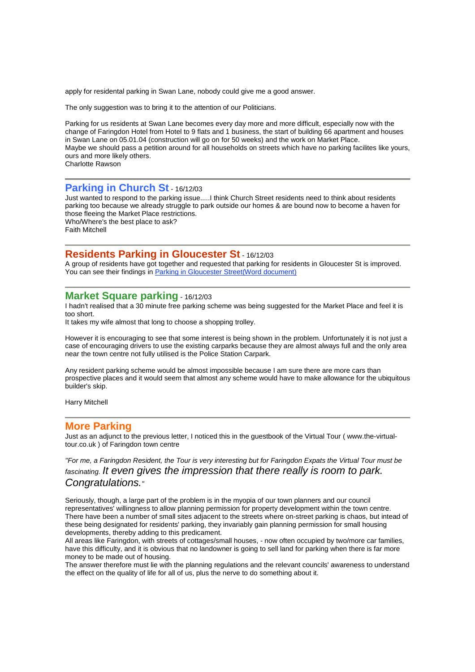apply for residental parking in Swan Lane, nobody could give me a good answer.

The only suggestion was to bring it to the attention of our Politicians.

Parking for us residents at Swan Lane becomes every day more and more difficult, especially now with the change of Faringdon Hotel from Hotel to 9 flats and 1 business, the start of building 66 apartment and houses in Swan Lane on 05.01.04 (construction will go on for 50 weeks) and the work on Market Place. Maybe we should pass a petition around for all households on streets which have no parking facilites like yours, ours and more likely others. Charlotte Rawson

## **Parking in Church St** - 16/12/03

Just wanted to respond to the parking issue.....I think Church Street residents need to think about residents parking too because we already struggle to park outside our homes & are bound now to become a haven for those fleeing the Market Place restrictions. Who/Where's the best place to ask?

Faith Mitchell

### **Residents Parking in Gloucester St** - 16/12/03

A group of residents have got together and requested that parking for residents in Gloucester St is improved. You can see their findings in Parking in Gloucester Street(Word document)

### **Market Square parking** - 16/12/03

I hadn't realised that a 30 minute free parking scheme was being suggested for the Market Place and feel it is too short.

It takes my wife almost that long to choose a shopping trolley.

However it is encouraging to see that some interest is being shown in the problem. Unfortunately it is not just a case of encouraging drivers to use the existing carparks because they are almost always full and the only area near the town centre not fully utilised is the Police Station Carpark.

Any resident parking scheme would be almost impossible because I am sure there are more cars than prospective places and it would seem that almost any scheme would have to make allowance for the ubiquitous builder's skip.

Harry Mitchell

#### **More Parking**

Just as an adjunct to the previous letter, I noticed this in the guestbook of the Virtual Tour ( www.the-virtualtour.co.uk ) of Faringdon town centre

"For me, a Faringdon Resident, the Tour is very interesting but for Faringdon Expats the Virtual Tour must be fascinating. It even gives the impression that there really is room to park. Congratulations."

Seriously, though, a large part of the problem is in the myopia of our town planners and our council representatives' willingness to allow planning permission for property development within the town centre. There have been a number of small sites adjacent to the streets where on-street parking is chaos, but intead of these being designated for residents' parking, they invariably gain planning permission for small housing developments, thereby adding to this predicament.

All areas like Faringdon, with streets of cottages/small houses, - now often occupied by two/more car families, have this difficulty, and it is obvious that no landowner is going to sell land for parking when there is far more money to be made out of housing.

The answer therefore must lie with the planning regulations and the relevant councils' awareness to understand the effect on the quality of life for all of us, plus the nerve to do something about it.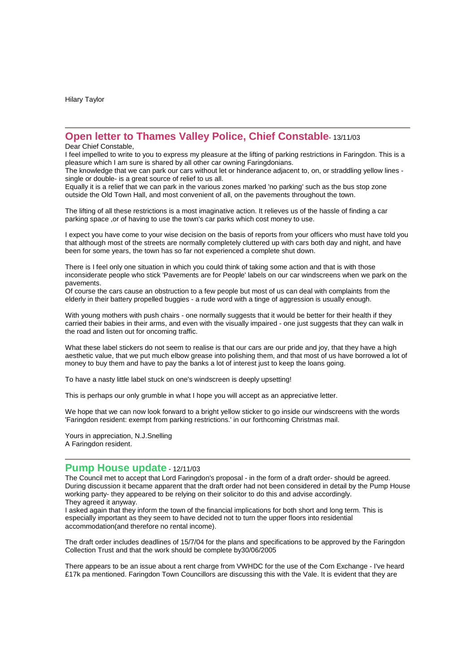Hilary Taylor

# **Open letter to Thames Valley Police, Chief Constable**- 13/11/03

Dear Chief Constable,

I feel impelled to write to you to express my pleasure at the lifting of parking restrictions in Faringdon. This is a pleasure which I am sure is shared by all other car owning Faringdonians.

The knowledge that we can park our cars without let or hinderance adjacent to, on, or straddling yellow lines single or double- is a great source of relief to us all.

Equally it is a relief that we can park in the various zones marked 'no parking' such as the bus stop zone outside the Old Town Hall, and most convenient of all, on the pavements throughout the town.

The lifting of all these restrictions is a most imaginative action. It relieves us of the hassle of finding a car parking space ,or of having to use the town's car parks which cost money to use.

I expect you have come to your wise decision on the basis of reports from your officers who must have told you that although most of the streets are normally completely cluttered up with cars both day and night, and have been for some years, the town has so far not experienced a complete shut down.

There is I feel only one situation in which you could think of taking some action and that is with those inconsiderate people who stick 'Pavements are for People' labels on our car windscreens when we park on the pavements.

Of course the cars cause an obstruction to a few people but most of us can deal with complaints from the elderly in their battery propelled buggies - a rude word with a tinge of aggression is usually enough.

With young mothers with push chairs - one normally suggests that it would be better for their health if they carried their babies in their arms, and even with the visually impaired - one just suggests that they can walk in the road and listen out for oncoming traffic.

What these label stickers do not seem to realise is that our cars are our pride and joy, that they have a high aesthetic value, that we put much elbow grease into polishing them, and that most of us have borrowed a lot of money to buy them and have to pay the banks a lot of interest just to keep the loans going.

To have a nasty little label stuck on one's windscreen is deeply upsetting!

This is perhaps our only grumble in what I hope you will accept as an appreciative letter.

We hope that we can now look forward to a bright yellow sticker to go inside our windscreens with the words 'Faringdon resident: exempt from parking restrictions.' in our forthcoming Christmas mail.

Yours in appreciation, N.J.Snelling A Faringdon resident.

# **Pump House update** - 12/11/03

The Council met to accept that Lord Faringdon's proposal - in the form of a draft order- should be agreed. During discussion it became apparent that the draft order had not been considered in detail by the Pump House working party- they appeared to be relying on their solicitor to do this and advise accordingly. They agreed it anyway.

I asked again that they inform the town of the financial implications for both short and long term. This is especially important as they seem to have decided not to turn the upper floors into residential accommodation(and therefore no rental income).

The draft order includes deadlines of 15/7/04 for the plans and specifications to be approved by the Faringdon Collection Trust and that the work should be complete by30/06/2005

There appears to be an issue about a rent charge from VWHDC for the use of the Corn Exchange - I've heard £17k pa mentioned. Faringdon Town Councillors are discussing this with the Vale. It is evident that they are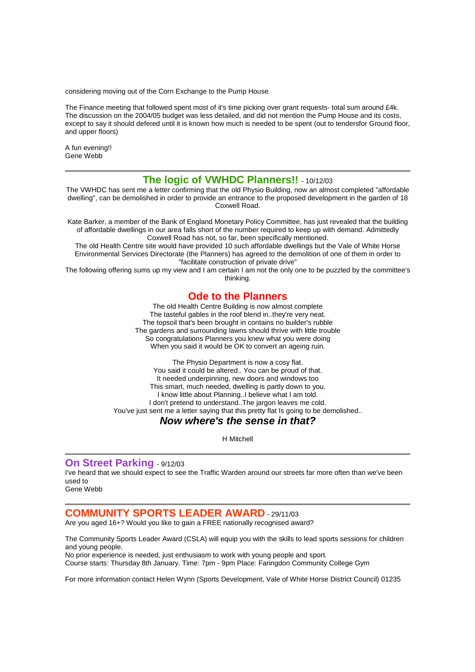considering moving out of the Corn Exchange to the Pump House.

The Finance meeting that followed spent most of it's time picking over grant requests- total sum around £4k. The discussion on the 2004/05 budget was less detailed, and did not mention the Pump House and its costs, except to say it should defered until it is known how much is needed to be spent (out to tendersfor Ground floor, and upper floors)

A fun evening!! Gene Webb

# **The logic of VWHDC Planners!!** - 10/12/03

The VWHDC has sent me a letter confirming that the old Physio Building, now an almost completed "affordable dwelling", can be demolished in order to provide an entrance to the proposed development in the garden of 18 Coxwell Road.

Kate Barker, a member of the Bank of England Monetary Policy Committee, has just revealed that the building of affordable dwellings in our area falls short of the number required to keep up with demand. Admittedly Coxwell Road has not, so far, been specifically mentioned.

The old Health Centre site would have provided 10 such affordable dwellings but the Vale of White Horse Environmental Services Directorate (the Planners) has agreed to the demolition of one of them in order to "facilitate construction of private drive"

The following offering sums up my view and I am certain I am not the only one to be puzzled by the committee's thinking.

# **Ode to the Planners**

The old Health Centre Building is now almost complete The tasteful gables in the roof blend in..they're very neat. The topsoil that's been brought in contains no builder's rubble The gardens and surrounding lawns should thrive with little trouble So congratulations Planners you knew what you were doing When you said it would be OK to convert an ageing ruin.

The Physio Department is now a cosy flat. You said it could be altered.. You can be proud of that. It needed underpinning, new doors and windows too This smart, much needed, dwelling is partly down to you. I know little about Planning..I believe what I am told. I don't pretend to understand..The jargon leaves me cold. You've just sent me a letter saying that this pretty flat Is going to be demolished.. **Now where's the sense in that?**

H Mitchell

### **On Street Parking** - 9/12/03

I've heard that we should expect to see the Traffic Warden around our streets far more often than we've been used to

Gene Webb

# **COMMUNITY SPORTS LEADER AWARD** - 29/11/03

Are you aged 16+? Would you like to gain a FREE nationally recognised award?

The Community Sports Leader Award (CSLA) will equip you with the skills to lead sports sessions for children and young people.

No prior experience is needed, just enthusiasm to work with young people and sport. Course starts: Thursday 8th January. Time: 7pm - 9pm Place: Faringdon Community College Gym

For more information contact Helen Wynn (Sports Development, Vale of White Horse District Council) 01235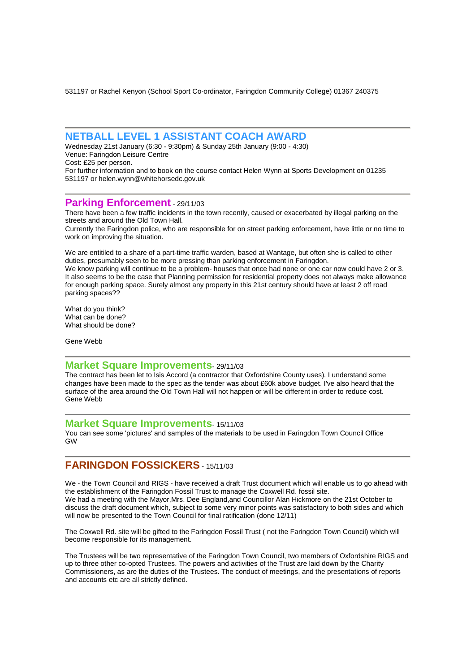531197 or Rachel Kenyon (School Sport Co-ordinator, Faringdon Community College) 01367 240375

## **NETBALL LEVEL 1 ASSISTANT COACH AWARD**

Wednesday 21st January (6:30 - 9:30pm) & Sunday 25th January (9:00 - 4:30) Venue: Faringdon Leisure Centre Cost: £25 per person.

For further information and to book on the course contact Helen Wynn at Sports Development on 01235 531197 or helen.wynn@whitehorsedc.gov.uk

# **Parking Enforcement** 29/11/03

There have been a few traffic incidents in the town recently, caused or exacerbated by illegal parking on the streets and around the Old Town Hall.

Currently the Faringdon police, who are responsible for on street parking enforcement, have little or no time to work on improving the situation.

We are entitiled to a share of a part-time traffic warden, based at Wantage, but often she is called to other duties, presumably seen to be more pressing than parking enforcement in Faringdon.

We know parking will continue to be a problem- houses that once had none or one car now could have 2 or 3. It also seems to be the case that Planning permission for residential property does not always make allowance for enough parking space. Surely almost any property in this 21st century should have at least 2 off road parking spaces??

What do you think? What can be done? What should be done?

Gene Webb

### **Market Square Improvements**- 29/11/03

The contract has been let to Isis Accord (a contractor that Oxfordshire County uses). I understand some changes have been made to the spec as the tender was about £60k above budget. I've also heard that the surface of the area around the Old Town Hall will not happen or will be different in order to reduce cost. Gene Webb

### **Market Square Improvements**- 15/11/03

You can see some 'pictures' and samples of the materials to be used in Faringdon Town Council Office GW

# **FARINGDON FOSSICKERS** - 15/11/03

We - the Town Council and RIGS - have received a draft Trust document which will enable us to go ahead with the establishment of the Faringdon Fossil Trust to manage the Coxwell Rd. fossil site. We had a meeting with the Mayor,Mrs. Dee England,and Councillor Alan Hickmore on the 21st October to discuss the draft document which, subject to some very minor points was satisfactory to both sides and which will now be presented to the Town Council for final ratification (done 12/11)

The Coxwell Rd. site will be gifted to the Faringdon Fossil Trust ( not the Faringdon Town Council) which will become responsible for its management.

The Trustees will be two representative of the Faringdon Town Council, two members of Oxfordshire RIGS and up to three other co-opted Trustees. The powers and activities of the Trust are laid down by the Charity Commissioners, as are the duties of the Trustees. The conduct of meetings, and the presentations of reports and accounts etc are all strictly defined.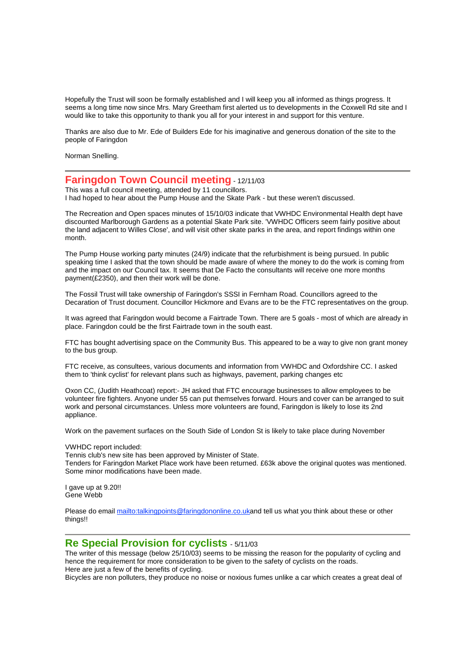Hopefully the Trust will soon be formally established and I will keep you all informed as things progress. It seems a long time now since Mrs. Mary Greetham first alerted us to developments in the Coxwell Rd site and I would like to take this opportunity to thank you all for your interest in and support for this venture.

Thanks are also due to Mr. Ede of Builders Ede for his imaginative and generous donation of the site to the people of Faringdon

Norman Snelling.

### **Faringdon Town Council meeting** - 12/11/03

This was a full council meeting, attended by 11 councillors. I had hoped to hear about the Pump House and the Skate Park - but these weren't discussed.

The Recreation and Open spaces minutes of 15/10/03 indicate that VWHDC Environmental Health dept have discounted Marlborough Gardens as a potential Skate Park site. 'VWHDC Officers seem fairly positive about the land adjacent to Willes Close', and will visit other skate parks in the area, and report findings within one month.

The Pump House working party minutes (24/9) indicate that the refurbishment is being pursued. In public speaking time I asked that the town should be made aware of where the money to do the work is coming from and the impact on our Council tax. It seems that De Facto the consultants will receive one more months payment(£2350), and then their work will be done.

The Fossil Trust will take ownership of Faringdon's SSSI in Fernham Road. Councillors agreed to the Decaration of Trust document. Councillor Hickmore and Evans are to be the FTC representatives on the group.

It was agreed that Faringdon would become a Fairtrade Town. There are 5 goals - most of which are already in place. Faringdon could be the first Fairtrade town in the south east.

FTC has bought advertising space on the Community Bus. This appeared to be a way to give non grant money to the bus group.

FTC receive, as consultees, various documents and information from VWHDC and Oxfordshire CC. I asked them to 'think cyclist' for relevant plans such as highways, pavement, parking changes etc

Oxon CC, (Judith Heathcoat) report:- JH asked that FTC encourage businesses to allow employees to be volunteer fire fighters. Anyone under 55 can put themselves forward. Hours and cover can be arranged to suit work and personal circumstances. Unless more volunteers are found, Faringdon is likely to lose its 2nd appliance.

Work on the pavement surfaces on the South Side of London St is likely to take place during November

VWHDC report included:

Tennis club's new site has been approved by Minister of State. Tenders for Faringdon Market Place work have been returned. £63k above the original quotes was mentioned. Some minor modifications have been made.

I gave up at 9.20!! Gene Webb

Please do email mailto:talkingpoints@faringdononline.co.ukand tell us what you think about these or other things!!

### **Re Special Provision for cyclists** - 5/11/03

The writer of this message (below 25/10/03) seems to be missing the reason for the popularity of cycling and hence the requirement for more consideration to be given to the safety of cyclists on the roads. Here are just a few of the benefits of cycling.

Bicycles are non polluters, they produce no noise or noxious fumes unlike a car which creates a great deal of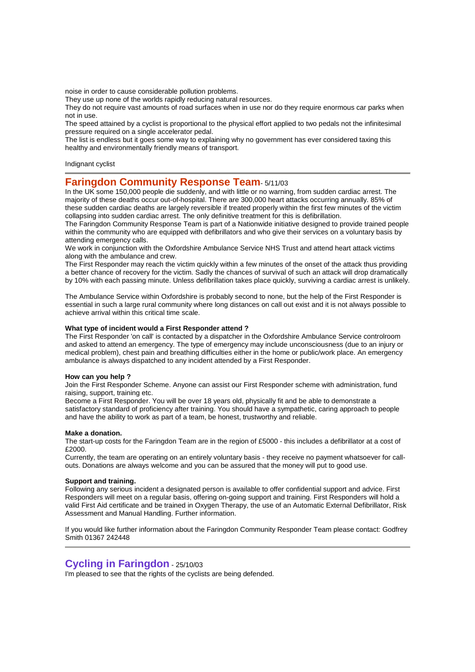noise in order to cause considerable pollution problems.

They use up none of the worlds rapidly reducing natural resources.

They do not require vast amounts of road surfaces when in use nor do they require enormous car parks when not in use.

The speed attained by a cyclist is proportional to the physical effort applied to two pedals not the infinitesimal pressure required on a single accelerator pedal.

The list is endless but it goes some way to explaining why no government has ever considered taxing this healthy and environmentally friendly means of transport.

Indignant cyclist

## **Faringdon Community Response Team**- 5/11/03

In the UK some 150,000 people die suddenly, and with little or no warning, from sudden cardiac arrest. The majority of these deaths occur out-of-hospital. There are 300,000 heart attacks occurring annually. 85% of these sudden cardiac deaths are largely reversible if treated properly within the first few minutes of the victim collapsing into sudden cardiac arrest. The only definitive treatment for this is defibrillation.

The Faringdon Community Response Team is part of a Nationwide initiative designed to provide trained people within the community who are equipped with defibrillators and who give their services on a voluntary basis by attending emergency calls.

We work in conjunction with the Oxfordshire Ambulance Service NHS Trust and attend heart attack victims along with the ambulance and crew.

The First Responder may reach the victim quickly within a few minutes of the onset of the attack thus providing a better chance of recovery for the victim. Sadly the chances of survival of such an attack will drop dramatically by 10% with each passing minute. Unless defibrillation takes place quickly, surviving a cardiac arrest is unlikely.

The Ambulance Service within Oxfordshire is probably second to none, but the help of the First Responder is essential in such a large rural community where long distances on call out exist and it is not always possible to achieve arrival within this critical time scale.

#### **What type of incident would a First Responder attend ?**

The First Responder 'on call' is contacted by a dispatcher in the Oxfordshire Ambulance Service controlroom and asked to attend an emergency. The type of emergency may include unconsciousness (due to an injury or medical problem), chest pain and breathing difficulties either in the home or public/work place. An emergency ambulance is always dispatched to any incident attended by a First Responder.

#### **How can you help ?**

Join the First Responder Scheme. Anyone can assist our First Responder scheme with administration, fund raising, support, training etc.

Become a First Responder. You will be over 18 years old, physically fit and be able to demonstrate a satisfactory standard of proficiency after training. You should have a sympathetic, caring approach to people and have the ability to work as part of a team, be honest, trustworthy and reliable.

#### **Make a donation.**

The start-up costs for the Faringdon Team are in the region of £5000 - this includes a defibrillator at a cost of £2000.

Currently, the team are operating on an entirely voluntary basis - they receive no payment whatsoever for callouts. Donations are always welcome and you can be assured that the money will put to good use.

#### **Support and training.**

Following any serious incident a designated person is available to offer confidential support and advice. First Responders will meet on a regular basis, offering on-going support and training. First Responders will hold a valid First Aid certificate and be trained in Oxygen Therapy, the use of an Automatic External Defibrillator, Risk Assessment and Manual Handling. Further information.

If you would like further information about the Faringdon Community Responder Team please contact: Godfrey Smith 01367 242448

# **Cycling in Faringdon** - 25/10/03

I'm pleased to see that the rights of the cyclists are being defended.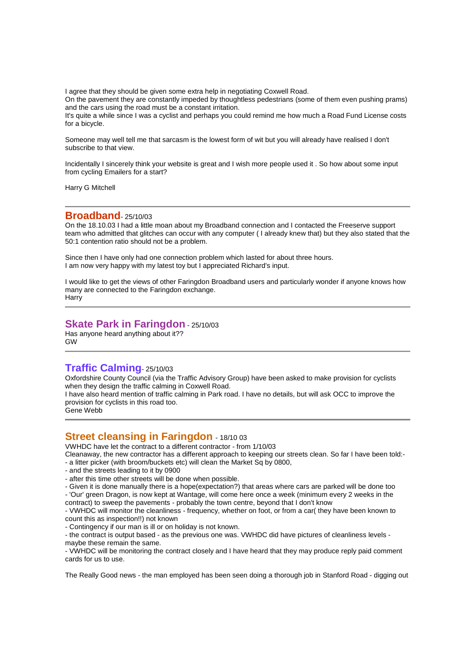I agree that they should be given some extra help in negotiating Coxwell Road.

On the pavement they are constantly impeded by thoughtless pedestrians (some of them even pushing prams) and the cars using the road must be a constant irritation.

It's quite a while since I was a cyclist and perhaps you could remind me how much a Road Fund License costs for a bicycle.

Someone may well tell me that sarcasm is the lowest form of wit but you will already have realised I don't subscribe to that view.

Incidentally I sincerely think your website is great and I wish more people used it . So how about some input from cycling Emailers for a start?

Harry G Mitchell

### **Broadband**- 25/10/03

On the 18.10.03 I had a little moan about my Broadband connection and I contacted the Freeserve support team who admitted that glitches can occur with any computer ( I already knew that) but they also stated that the 50:1 contention ratio should not be a problem.

Since then I have only had one connection problem which lasted for about three hours. I am now very happy with my latest toy but I appreciated Richard's input.

I would like to get the views of other Faringdon Broadband users and particularly wonder if anyone knows how many are connected to the Faringdon exchange. **Harry** 

## **Skate Park in Faringdon** - 25/10/03

Has anyone heard anything about it?? GW

# **Traffic Calming**- 25/10/03

Oxfordshire County Council (via the Traffic Advisory Group) have been asked to make provision for cyclists when they design the traffic calming in Coxwell Road.

I have also heard mention of traffic calming in Park road. I have no details, but will ask OCC to improve the provision for cyclists in this road too.

Gene Webb

## **Street cleansing in Faringdon** - 18/10 <sup>03</sup>

VWHDC have let the contract to a different contractor - from 1/10/03

Cleanaway, the new contractor has a different approach to keeping our streets clean. So far I have been told:- - a litter picker (with broom/buckets etc) will clean the Market Sq by 0800,

- and the streets leading to it by 0900
- after this time other streets will be done when possible.

- Given it is done manually there is a hope(expectation?) that areas where cars are parked will be done too - 'Our' green Dragon, is now kept at Wantage, will come here once a week (minimum every 2 weeks in the contract) to sweep the pavements - probably the town centre, beyond that I don't know

- VWHDC will monitor the cleanliness - frequency, whether on foot, or from a car( they have been known to count this as inspection!!) not known

- Contingency if our man is ill or on holiday is not known.

- the contract is output based - as the previous one was. VWHDC did have pictures of cleanliness levels maybe these remain the same.

- VWHDC will be monitoring the contract closely and I have heard that they may produce reply paid comment cards for us to use.

The Really Good news - the man employed has been seen doing a thorough job in Stanford Road - digging out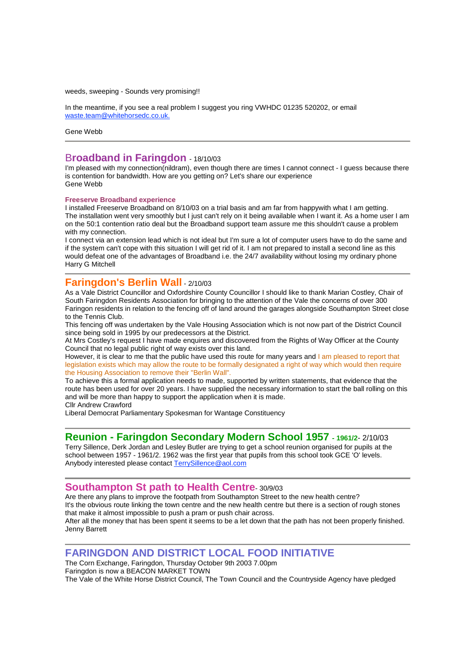weeds, sweeping - Sounds very promising!!

In the meantime, if you see a real problem I suggest you ring VWHDC 01235 520202, or email waste.team@whitehorsedc.co.uk.

Gene Webb

### B**roadband in Faringdon** - 18/10/03

I'm pleased with my connection(nildram), even though there are times I cannot connect - I guess because there is contention for bandwidth. How are you getting on? Let's share our experience Gene Webb

#### **Freeserve Broadband experience**

I installed Freeserve Broadband on 8/10/03 on a trial basis and am far from happywith what I am getting. The installation went very smoothly but I just can't rely on it being available when I want it. As a home user I am on the 50:1 contention ratio deal but the Broadband support team assure me this shouldn't cause a problem with my connection.

I connect via an extension lead which is not ideal but I'm sure a lot of computer users have to do the same and if the system can't cope with this situation I will get rid of it. I am not prepared to install a second line as this would defeat one of the advantages of Broadband i.e. the 24/7 availability without losing my ordinary phone Harry G Mitchell

### **Faringdon's Berlin Wall** - 2/10/03

As a Vale District Councillor and Oxfordshire County Councillor I should like to thank Marian Costley, Chair of South Faringdon Residents Association for bringing to the attention of the Vale the concerns of over 300 Faringon residents in relation to the fencing off of land around the garages alongside Southampton Street close to the Tennis Club.

This fencing off was undertaken by the Vale Housing Association which is not now part of the District Council since being sold in 1995 by our predecessors at the District.

At Mrs Costley's request I have made enquires and discovered from the Rights of Way Officer at the County Council that no legal public right of way exists over this land.

However, it is clear to me that the public have used this route for many years and I am pleased to report that legislation exists which may allow the route to be formally designated a right of way which would then require the Housing Association to remove their "Berlin Wall".

To achieve this a formal application needs to made, supported by written statements, that evidence that the route has been used for over 20 years. I have supplied the necessary information to start the ball rolling on this and will be more than happy to support the application when it is made.

Cllr Andrew Crawford

Liberal Democrat Parliamentary Spokesman for Wantage Constituency

### **Reunion - Faringdon Secondary Modern School 1957 - 1961/2**- 2/10/03

Terry Sillence, Derk Jordan and Lesley Butler are trying to get a school reunion organised for pupils at the school between 1957 - 1961/2. 1962 was the first year that pupils from this school took GCE 'O' levels. Anybody interested please contact **TerrySillence@aol.com** 

### **Southampton St path to Health Centre**- 30/9/03

Are there any plans to improve the footpath from Southampton Street to the new health centre? It's the obvious route linking the town centre and the new health centre but there is a section of rough stones that make it almost impossible to push a pram or push chair across. After all the money that has been spent it seems to be a let down that the path has not been properly finished.

Jenny Barrett

# **FARINGDON AND DISTRICT LOCAL FOOD INITIATIVE**

The Corn Exchange, Faringdon, Thursday October 9th 2003 7.00pm

Faringdon is now a BEACON MARKET TOWN

The Vale of the White Horse District Council, The Town Council and the Countryside Agency have pledged